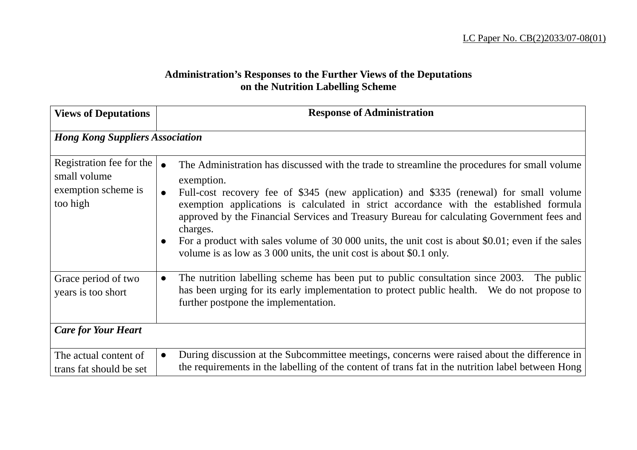## **Administration's Responses to the Further Views of the Deputations on the Nutrition Labelling Scheme**

| <b>Views of Deputations</b>                                                 | <b>Response of Administration</b>                                                                                                                                                                                                                                                                                                                                                                                                                                                                                                                                                     |
|-----------------------------------------------------------------------------|---------------------------------------------------------------------------------------------------------------------------------------------------------------------------------------------------------------------------------------------------------------------------------------------------------------------------------------------------------------------------------------------------------------------------------------------------------------------------------------------------------------------------------------------------------------------------------------|
| <b>Hong Kong Suppliers Association</b>                                      |                                                                                                                                                                                                                                                                                                                                                                                                                                                                                                                                                                                       |
| Registration fee for the<br>small volume<br>exemption scheme is<br>too high | The Administration has discussed with the trade to streamline the procedures for small volume<br>exemption.<br>Full-cost recovery fee of \$345 (new application) and \$335 (renewal) for small volume<br>exemption applications is calculated in strict accordance with the established formula<br>approved by the Financial Services and Treasury Bureau for calculating Government fees and<br>charges.<br>For a product with sales volume of 30 000 units, the unit cost is about \$0.01; even if the sales<br>volume is as low as 3 000 units, the unit cost is about \$0.1 only. |
| Grace period of two<br>years is too short                                   | The nutrition labelling scheme has been put to public consultation since 2003. The public<br>$\bullet$<br>has been urging for its early implementation to protect public health. We do not propose to<br>further postpone the implementation.                                                                                                                                                                                                                                                                                                                                         |
| <b>Care for Your Heart</b>                                                  |                                                                                                                                                                                                                                                                                                                                                                                                                                                                                                                                                                                       |
| The actual content of<br>trans fat should be set                            | During discussion at the Subcommittee meetings, concerns were raised about the difference in<br>the requirements in the labelling of the content of trans fat in the nutrition label between Hong                                                                                                                                                                                                                                                                                                                                                                                     |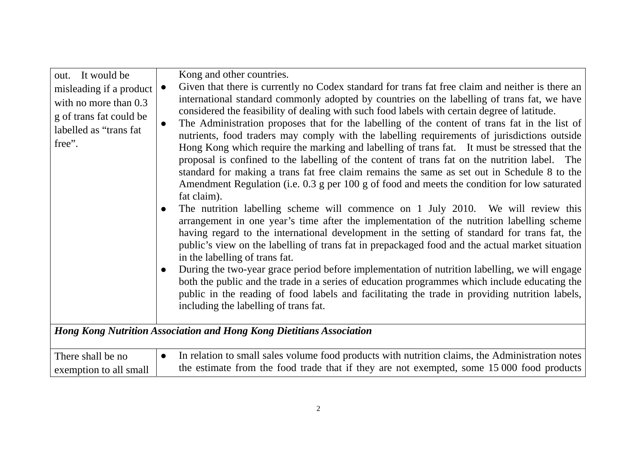| out. It would be<br>misleading if a product<br>with no more than 0.3<br>g of trans fat could be<br>labelled as "trans fat<br>free". | Kong and other countries.<br>Given that there is currently no Codex standard for trans fat free claim and neither is there an<br>$\bullet$<br>international standard commonly adopted by countries on the labelling of trans fat, we have<br>considered the feasibility of dealing with such food labels with certain degree of latitude.<br>The Administration proposes that for the labelling of the content of trans fat in the list of<br>$\bullet$<br>nutrients, food traders may comply with the labelling requirements of jurisdictions outside<br>Hong Kong which require the marking and labelling of trans fat. It must be stressed that the<br>proposal is confined to the labelling of the content of trans fat on the nutrition label. The<br>standard for making a trans fat free claim remains the same as set out in Schedule 8 to the<br>Amendment Regulation (i.e. 0.3 g per 100 g of food and meets the condition for low saturated<br>fat claim).<br>The nutrition labelling scheme will commence on 1 July 2010. We will review this<br>$\bullet$<br>arrangement in one year's time after the implementation of the nutrition labelling scheme<br>having regard to the international development in the setting of standard for trans fat, the<br>public's view on the labelling of trans fat in prepackaged food and the actual market situation<br>in the labelling of trans fat.<br>During the two-year grace period before implementation of nutrition labelling, we will engage<br>$\bullet$<br>both the public and the trade in a series of education programmes which include educating the<br>public in the reading of food labels and facilitating the trade in providing nutrition labels,<br>including the labelling of trans fat. |
|-------------------------------------------------------------------------------------------------------------------------------------|--------------------------------------------------------------------------------------------------------------------------------------------------------------------------------------------------------------------------------------------------------------------------------------------------------------------------------------------------------------------------------------------------------------------------------------------------------------------------------------------------------------------------------------------------------------------------------------------------------------------------------------------------------------------------------------------------------------------------------------------------------------------------------------------------------------------------------------------------------------------------------------------------------------------------------------------------------------------------------------------------------------------------------------------------------------------------------------------------------------------------------------------------------------------------------------------------------------------------------------------------------------------------------------------------------------------------------------------------------------------------------------------------------------------------------------------------------------------------------------------------------------------------------------------------------------------------------------------------------------------------------------------------------------------------------------------------------------------------------------------------------------------|
|                                                                                                                                     | <b>Hong Kong Nutrition Association and Hong Kong Dietitians Association</b>                                                                                                                                                                                                                                                                                                                                                                                                                                                                                                                                                                                                                                                                                                                                                                                                                                                                                                                                                                                                                                                                                                                                                                                                                                                                                                                                                                                                                                                                                                                                                                                                                                                                                        |
| There shall be no<br>exemption to all small                                                                                         | In relation to small sales volume food products with nutrition claims, the Administration notes<br>$\bullet$<br>the estimate from the food trade that if they are not exempted, some 15 000 food products                                                                                                                                                                                                                                                                                                                                                                                                                                                                                                                                                                                                                                                                                                                                                                                                                                                                                                                                                                                                                                                                                                                                                                                                                                                                                                                                                                                                                                                                                                                                                          |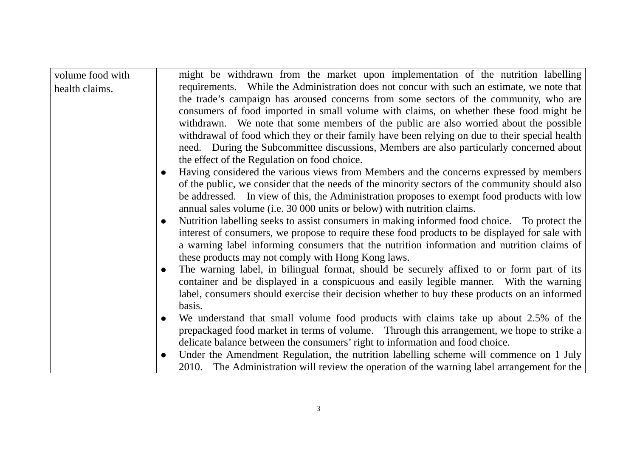| volume food with | might be withdrawn from the market upon implementation of the nutrition labelling                         |
|------------------|-----------------------------------------------------------------------------------------------------------|
| health claims.   | requirements. While the Administration does not concur with such an estimate, we note that                |
|                  | the trade's campaign has aroused concerns from some sectors of the community, who are                     |
|                  | consumers of food imported in small volume with claims, on whether these food might be                    |
|                  | withdrawn. We note that some members of the public are also worried about the possible                    |
|                  | withdrawal of food which they or their family have been relying on due to their special health            |
|                  | need. During the Subcommittee discussions, Members are also particularly concerned about                  |
|                  | the effect of the Regulation on food choice.                                                              |
|                  | Having considered the various views from Members and the concerns expressed by members<br>$\bullet$       |
|                  | of the public, we consider that the needs of the minority sectors of the community should also            |
|                  | be addressed. In view of this, the Administration proposes to exempt food products with low               |
|                  | annual sales volume (i.e. 30 000 units or below) with nutrition claims.                                   |
|                  | Nutrition labelling seeks to assist consumers in making informed food choice. To protect the<br>$\bullet$ |
|                  | interest of consumers, we propose to require these food products to be displayed for sale with            |
|                  | a warning label informing consumers that the nutrition information and nutrition claims of                |
|                  | these products may not comply with Hong Kong laws.                                                        |
|                  | The warning label, in bilingual format, should be securely affixed to or form part of its<br>$\bullet$    |
|                  | container and be displayed in a conspicuous and easily legible manner. With the warning                   |
|                  | label, consumers should exercise their decision whether to buy these products on an informed              |
|                  | basis.                                                                                                    |
|                  | We understand that small volume food products with claims take up about 2.5% of the<br>$\bullet$          |
|                  | prepackaged food market in terms of volume. Through this arrangement, we hope to strike a                 |
|                  | delicate balance between the consumers' right to information and food choice.                             |
|                  | Under the Amendment Regulation, the nutrition labelling scheme will commence on 1 July<br>$\bullet$       |
|                  | 2010. The Administration will review the operation of the warning label arrangement for the               |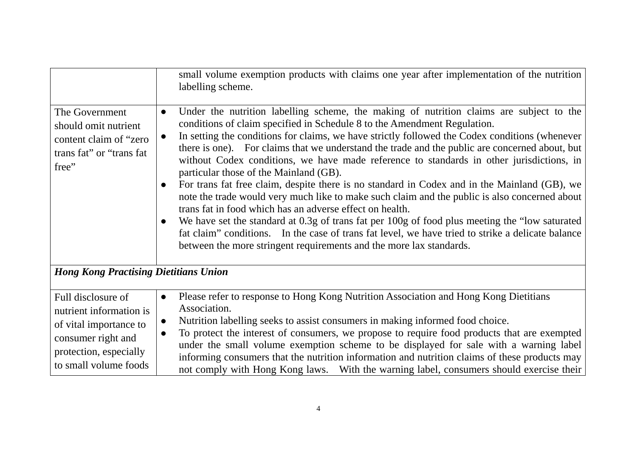|                                                                                                                                                  | small volume exemption products with claims one year after implementation of the nutrition<br>labelling scheme.                                                                                                                                                                                                                                                                                                                                                                                                                                                                                                                                                                                                                                                                                                                                                                                                                                                                                                                                                                                               |
|--------------------------------------------------------------------------------------------------------------------------------------------------|---------------------------------------------------------------------------------------------------------------------------------------------------------------------------------------------------------------------------------------------------------------------------------------------------------------------------------------------------------------------------------------------------------------------------------------------------------------------------------------------------------------------------------------------------------------------------------------------------------------------------------------------------------------------------------------------------------------------------------------------------------------------------------------------------------------------------------------------------------------------------------------------------------------------------------------------------------------------------------------------------------------------------------------------------------------------------------------------------------------|
| The Government<br>should omit nutrient<br>content claim of "zero"<br>trans fat" or "trans fat<br>free"                                           | Under the nutrition labelling scheme, the making of nutrition claims are subject to the<br>$\bullet$<br>conditions of claim specified in Schedule 8 to the Amendment Regulation.<br>In setting the conditions for claims, we have strictly followed the Codex conditions (whenever<br>$\bullet$<br>there is one). For claims that we understand the trade and the public are concerned about, but<br>without Codex conditions, we have made reference to standards in other jurisdictions, in<br>particular those of the Mainland (GB).<br>For trans fat free claim, despite there is no standard in Codex and in the Mainland (GB), we<br>$\bullet$<br>note the trade would very much like to make such claim and the public is also concerned about<br>trans fat in food which has an adverse effect on health.<br>We have set the standard at 0.3g of trans fat per 100g of food plus meeting the "low saturated"<br>$\bullet$<br>fat claim" conditions. In the case of trans fat level, we have tried to strike a delicate balance<br>between the more stringent requirements and the more lax standards. |
| <b>Hong Kong Practising Dietitians Union</b>                                                                                                     |                                                                                                                                                                                                                                                                                                                                                                                                                                                                                                                                                                                                                                                                                                                                                                                                                                                                                                                                                                                                                                                                                                               |
| Full disclosure of<br>nutrient information is<br>of vital importance to<br>consumer right and<br>protection, especially<br>to small volume foods | Please refer to response to Hong Kong Nutrition Association and Hong Kong Dietitians<br>Association.<br>Nutrition labelling seeks to assist consumers in making informed food choice.<br>$\bullet$<br>To protect the interest of consumers, we propose to require food products that are exempted<br>$\bullet$<br>under the small volume exemption scheme to be displayed for sale with a warning label<br>informing consumers that the nutrition information and nutrition claims of these products may<br>not comply with Hong Kong laws. With the warning label, consumers should exercise their                                                                                                                                                                                                                                                                                                                                                                                                                                                                                                           |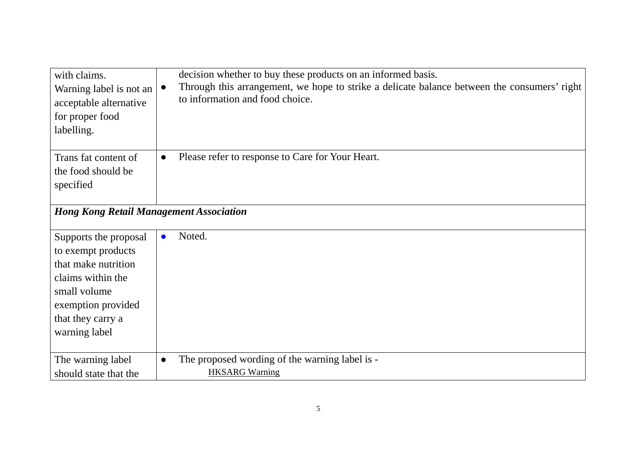| with claims.<br>Warning label is not an<br>acceptable alternative<br>for proper food<br>labelling.                                                                  | decision whether to buy these products on an informed basis.<br>Through this arrangement, we hope to strike a delicate balance between the consumers' right<br>$\bullet$<br>to information and food choice. |
|---------------------------------------------------------------------------------------------------------------------------------------------------------------------|-------------------------------------------------------------------------------------------------------------------------------------------------------------------------------------------------------------|
| Trans fat content of<br>the food should be<br>specified                                                                                                             | Please refer to response to Care for Your Heart.<br>$\bullet$                                                                                                                                               |
| <b>Hong Kong Retail Management Association</b>                                                                                                                      |                                                                                                                                                                                                             |
| Supports the proposal<br>to exempt products<br>that make nutrition<br>claims within the<br>small volume<br>exemption provided<br>that they carry a<br>warning label | Noted.<br>$\bullet$                                                                                                                                                                                         |
| The warning label<br>should state that the                                                                                                                          | The proposed wording of the warning label is -<br>$\bullet$<br><b>HKSARG Warning</b>                                                                                                                        |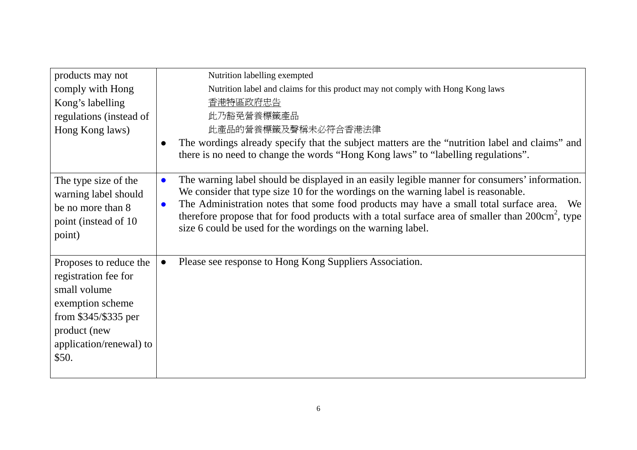| products may not                                                                                                                                                | Nutrition labelling exempted                                                                                                                                                                                                                                                                                                                                                                                                                                                                |
|-----------------------------------------------------------------------------------------------------------------------------------------------------------------|---------------------------------------------------------------------------------------------------------------------------------------------------------------------------------------------------------------------------------------------------------------------------------------------------------------------------------------------------------------------------------------------------------------------------------------------------------------------------------------------|
| comply with Hong                                                                                                                                                | Nutrition label and claims for this product may not comply with Hong Kong laws                                                                                                                                                                                                                                                                                                                                                                                                              |
| Kong's labelling                                                                                                                                                | 香港特區政府忠告                                                                                                                                                                                                                                                                                                                                                                                                                                                                                    |
| regulations (instead of                                                                                                                                         | 此乃豁免營養標籤產品                                                                                                                                                                                                                                                                                                                                                                                                                                                                                  |
| Hong Kong laws)                                                                                                                                                 | 此產品的營養標籤及聲稱未必符合香港法律                                                                                                                                                                                                                                                                                                                                                                                                                                                                         |
|                                                                                                                                                                 | The wordings already specify that the subject matters are the "nutrition label and claims" and<br>there is no need to change the words "Hong Kong laws" to "labelling regulations".                                                                                                                                                                                                                                                                                                         |
| The type size of the<br>warning label should<br>be no more than 8<br>point (instead of 10<br>point)                                                             | The warning label should be displayed in an easily legible manner for consumers' information.<br>$\bullet$<br>We consider that type size 10 for the wordings on the warning label is reasonable.<br>The Administration notes that some food products may have a small total surface area.<br>We<br>$\bullet$<br>therefore propose that for food products with a total surface area of smaller than 200cm <sup>2</sup> , type<br>size 6 could be used for the wordings on the warning label. |
| Proposes to reduce the<br>registration fee for<br>small volume<br>exemption scheme<br>from $$345/\$335$ per<br>product (new<br>application/renewal) to<br>\$50. | Please see response to Hong Kong Suppliers Association.<br>$\bullet$                                                                                                                                                                                                                                                                                                                                                                                                                        |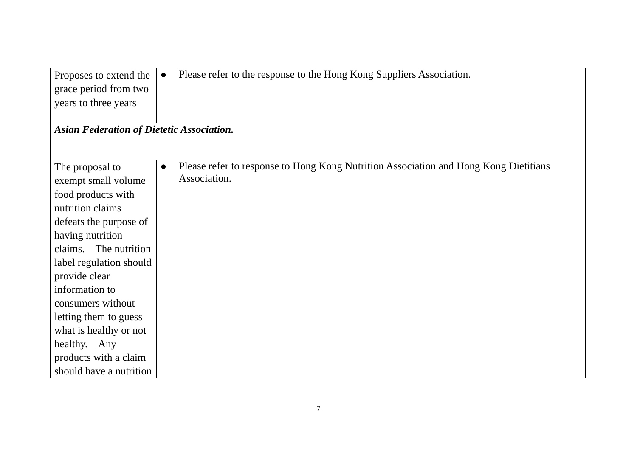| Proposes to extend the                           | Please refer to the response to the Hong Kong Suppliers Association.<br>$\bullet$                 |
|--------------------------------------------------|---------------------------------------------------------------------------------------------------|
| grace period from two                            |                                                                                                   |
| years to three years                             |                                                                                                   |
|                                                  |                                                                                                   |
| <b>Asian Federation of Dietetic Association.</b> |                                                                                                   |
|                                                  |                                                                                                   |
|                                                  |                                                                                                   |
| The proposal to                                  | Please refer to response to Hong Kong Nutrition Association and Hong Kong Dietitians<br>$\bullet$ |
| exempt small volume                              | Association.                                                                                      |
| food products with                               |                                                                                                   |
| nutrition claims                                 |                                                                                                   |
| defeats the purpose of                           |                                                                                                   |
| having nutrition                                 |                                                                                                   |
| claims. The nutrition                            |                                                                                                   |
| label regulation should                          |                                                                                                   |
| provide clear                                    |                                                                                                   |
| information to                                   |                                                                                                   |
| consumers without                                |                                                                                                   |
| letting them to guess                            |                                                                                                   |
| what is healthy or not                           |                                                                                                   |
| healthy. Any                                     |                                                                                                   |
| products with a claim                            |                                                                                                   |
| should have a nutrition                          |                                                                                                   |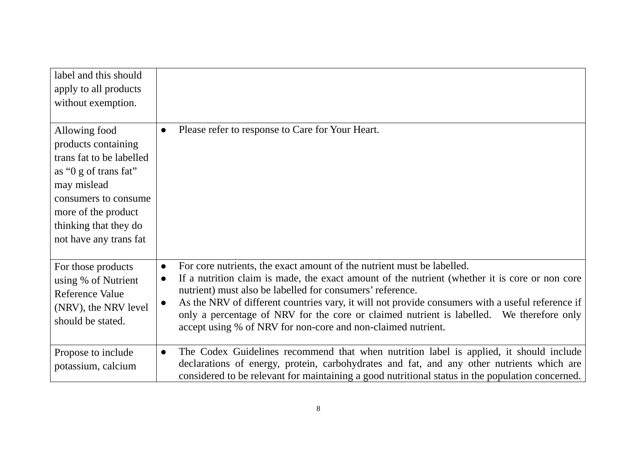| label and this should    |                                                                                                                                                                          |
|--------------------------|--------------------------------------------------------------------------------------------------------------------------------------------------------------------------|
| apply to all products    |                                                                                                                                                                          |
| without exemption.       |                                                                                                                                                                          |
|                          |                                                                                                                                                                          |
| Allowing food            | Please refer to response to Care for Your Heart.<br>$\bullet$                                                                                                            |
| products containing      |                                                                                                                                                                          |
| trans fat to be labelled |                                                                                                                                                                          |
| as "0 g of trans fat"    |                                                                                                                                                                          |
| may mislead              |                                                                                                                                                                          |
| consumers to consume     |                                                                                                                                                                          |
| more of the product      |                                                                                                                                                                          |
| thinking that they do    |                                                                                                                                                                          |
| not have any trans fat   |                                                                                                                                                                          |
|                          |                                                                                                                                                                          |
| For those products       | For core nutrients, the exact amount of the nutrient must be labelled.<br>$\bullet$                                                                                      |
| using % of Nutrient      | If a nutrition claim is made, the exact amount of the nutrient (whether it is core or non core<br>$\bullet$<br>nutrient) must also be labelled for consumers' reference. |
| <b>Reference Value</b>   | As the NRV of different countries vary, it will not provide consumers with a useful reference if<br>$\bullet$                                                            |
| (NRV), the NRV level     | only a percentage of NRV for the core or claimed nutrient is labelled. We therefore only                                                                                 |
| should be stated.        | accept using % of NRV for non-core and non-claimed nutrient.                                                                                                             |
|                          |                                                                                                                                                                          |
| Propose to include       | The Codex Guidelines recommend that when nutrition label is applied, it should include<br>$\bullet$                                                                      |
| potassium, calcium       | declarations of energy, protein, carbohydrates and fat, and any other nutrients which are                                                                                |
|                          | considered to be relevant for maintaining a good nutritional status in the population concerned.                                                                         |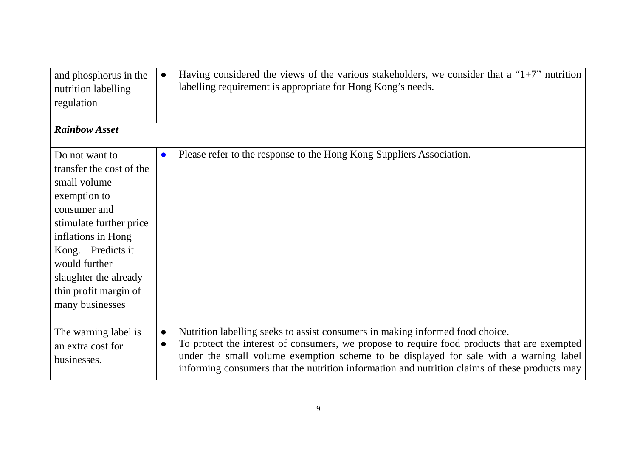| and phosphorus in the<br>nutrition labelling<br>regulation                                                                                                                                                                                             | Having considered the views of the various stakeholders, we consider that a " $1+7$ " nutrition<br>$\bullet$<br>labelling requirement is appropriate for Hong Kong's needs.                                                                                                                                                                                                                      |
|--------------------------------------------------------------------------------------------------------------------------------------------------------------------------------------------------------------------------------------------------------|--------------------------------------------------------------------------------------------------------------------------------------------------------------------------------------------------------------------------------------------------------------------------------------------------------------------------------------------------------------------------------------------------|
| <b>Rainbow Asset</b>                                                                                                                                                                                                                                   |                                                                                                                                                                                                                                                                                                                                                                                                  |
| Do not want to<br>transfer the cost of the<br>small volume<br>exemption to<br>consumer and<br>stimulate further price<br>inflations in Hong<br>Kong. Predicts it<br>would further<br>slaughter the already<br>thin profit margin of<br>many businesses | Please refer to the response to the Hong Kong Suppliers Association.<br>$\bullet$                                                                                                                                                                                                                                                                                                                |
| The warning label is<br>an extra cost for<br>businesses.                                                                                                                                                                                               | Nutrition labelling seeks to assist consumers in making informed food choice.<br>$\bullet$<br>To protect the interest of consumers, we propose to require food products that are exempted<br>$\bullet$<br>under the small volume exemption scheme to be displayed for sale with a warning label<br>informing consumers that the nutrition information and nutrition claims of these products may |